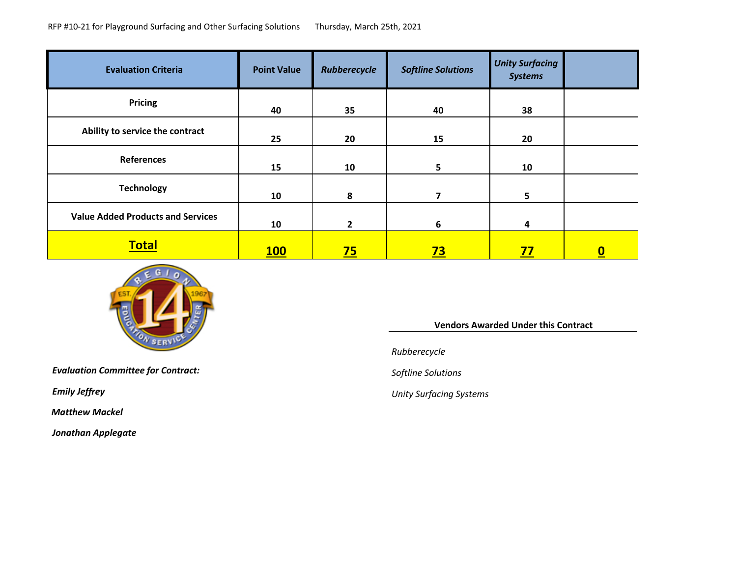| <b>Evaluation Criteria</b>               | <b>Point Value</b> | Rubberecycle   | <b>Softline Solutions</b> | <b>Unity Surfacing</b><br><b>Systems</b> |          |
|------------------------------------------|--------------------|----------------|---------------------------|------------------------------------------|----------|
| Pricing                                  | 40                 | 35             | 40                        | 38                                       |          |
| Ability to service the contract          | 25                 | 20             | 15                        | 20                                       |          |
| <b>References</b>                        | 15                 | 10             | $5\phantom{a}$            | 10                                       |          |
| <b>Technology</b>                        | 10                 | 8              | $\overline{\mathbf{z}}$   | $5\phantom{.0}$                          |          |
| <b>Value Added Products and Services</b> | 10                 | $\overline{2}$ | 6                         | 4                                        |          |
| <b>Total</b>                             | <b>100</b>         | <u>75</u>      | <u>73</u>                 | <u>77</u>                                | <u>0</u> |



*Evaluation Committee for Contract: Softline Solutions*

*Matthew Mackel*

*Jonathan Applegate*

#### **Vendors Awarded Under this Contract**

*Rubberecycle*

*Emily Jeffrey Unity Surfacing Systems*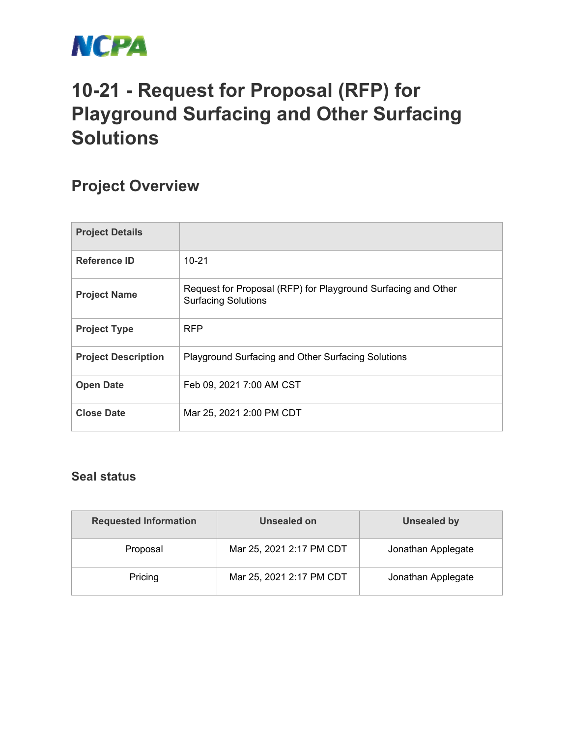

# **10-21 - Request for Proposal (RFP) for Playground Surfacing and Other Surfacing Solutions**

## **Project Overview**

| <b>Project Details</b>     |                                                                                             |
|----------------------------|---------------------------------------------------------------------------------------------|
| Reference ID               | $10 - 21$                                                                                   |
| <b>Project Name</b>        | Request for Proposal (RFP) for Playground Surfacing and Other<br><b>Surfacing Solutions</b> |
| <b>Project Type</b>        | <b>RFP</b>                                                                                  |
| <b>Project Description</b> | Playground Surfacing and Other Surfacing Solutions                                          |
| <b>Open Date</b>           | Feb 09, 2021 7:00 AM CST                                                                    |
| <b>Close Date</b>          | Mar 25, 2021 2:00 PM CDT                                                                    |

#### **Seal status**

| <b>Requested Information</b> | Unsealed on              | <b>Unsealed by</b> |
|------------------------------|--------------------------|--------------------|
| Proposal                     | Mar 25, 2021 2:17 PM CDT | Jonathan Applegate |
| Pricing                      | Mar 25, 2021 2:17 PM CDT | Jonathan Applegate |